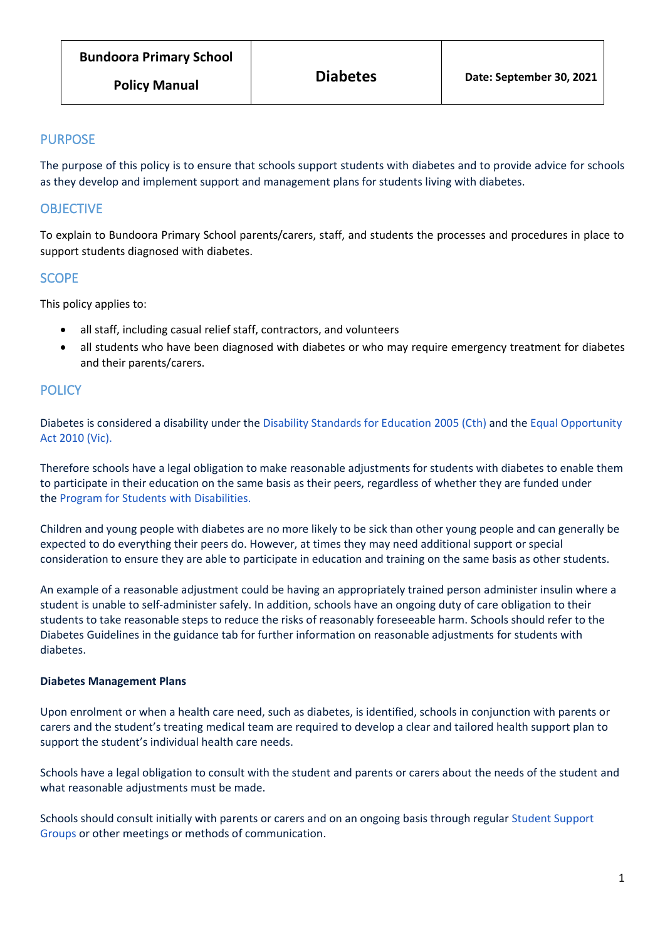# PURPOSE

The purpose of this policy is to ensure that schools support students with diabetes and to provide advice for schools as they develop and implement support and management plans for students living with diabetes.

# **OBJECTIVE**

To explain to Bundoora Primary School parents/carers, staff, and students the processes and procedures in place to support students diagnosed with diabetes.

# **SCOPE**

This policy applies to:

- all staff, including casual relief staff, contractors, and volunteers
- all students who have been diagnosed with diabetes or who may require emergency treatment for diabetes and their parents/carers.

# **POLICY**

Diabetes is considered a disability under the [Disability Standards for Education](https://www.legislation.gov.au/Details/F2005L00767) 2005 (Cth) and the [Equal Opportunity](https://www.legislation.vic.gov.au/in-force/acts/equal-opportunity-act-2010)  [Act 2010](https://www.legislation.vic.gov.au/in-force/acts/equal-opportunity-act-2010) (Vic).

Therefore schools have a legal obligation to make reasonable adjustments for students with diabetes to enable them to participate in their education on the same basis as their peers, regardless of whether they are funded under the [Program for Students with](https://www.education.vic.gov.au/school/teachers/learningneeds/Pages/psd.aspx) Disabilities.

Children and young people with diabetes are no more likely to be sick than other young people and can generally be expected to do everything their peers do. However, at times they may need additional support or special consideration to ensure they are able to participate in education and training on the same basis as other students.

An example of a reasonable adjustment could be having an appropriately trained person administer insulin where a student is unable to self-administer safely. In addition, schools have an ongoing duty of care obligation to their students to take reasonable steps to reduce the risks of reasonably foreseeable harm. Schools should refer to the Diabetes Guidelines in the guidance tab for further information on reasonable adjustments for students with diabetes.

# **Diabetes Management Plans**

Upon enrolment or when a health care need, such as diabetes, is identified, schools in conjunction with parents or carers and the student's treating medical team are required to develop a clear and tailored health support plan to support the student's individual health care needs.

Schools have a legal obligation to consult with the student and parents or carers about the needs of the student and what reasonable adjustments must be made.

Schools should consult initially with parents or carers and on an ongoing basis through regular [Student Support](https://www2.education.vic.gov.au/pal/student-support-groups/policy)  [Groups](https://www2.education.vic.gov.au/pal/student-support-groups/policy) or other meetings or methods of communication.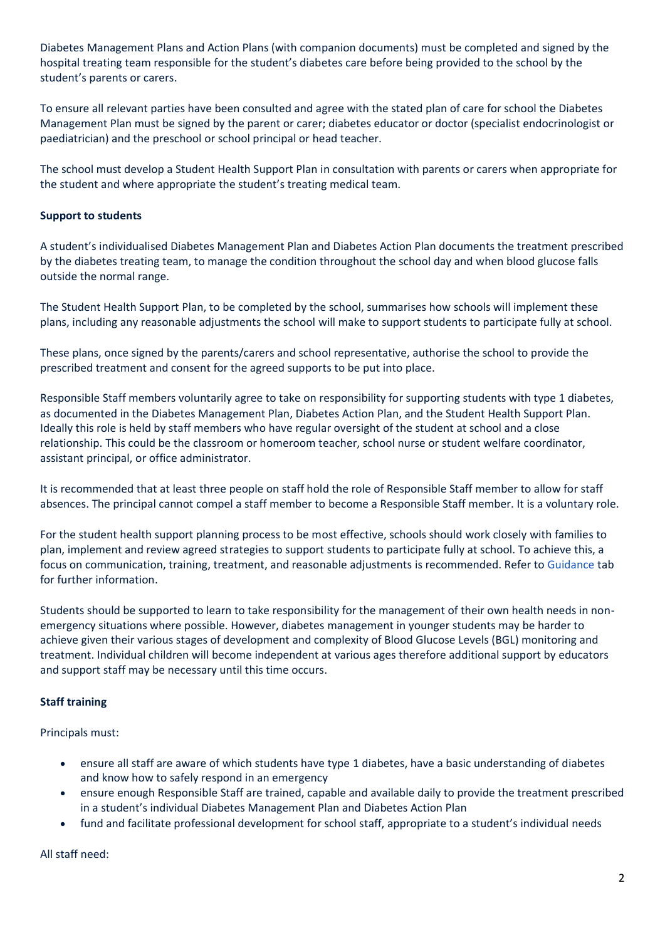Diabetes Management Plans and Action Plans (with companion documents) must be completed and signed by the hospital treating team responsible for the student's diabetes care before being provided to the school by the student's parents or carers.

To ensure all relevant parties have been consulted and agree with the stated plan of care for school the Diabetes Management Plan must be signed by the parent or carer; diabetes educator or doctor (specialist endocrinologist or paediatrician) and the preschool or school principal or head teacher.

The school must develop a Student Health Support Plan in consultation with parents or carers when appropriate for the student and where appropriate the student's treating medical team.

# **Support to students**

A student's individualised Diabetes Management Plan and Diabetes Action Plan documents the treatment prescribed by the diabetes treating team, to manage the condition throughout the school day and when blood glucose falls outside the normal range.

The Student Health Support Plan, to be completed by the school, summarises how schools will implement these plans, including any reasonable adjustments the school will make to support students to participate fully at school.

These plans, once signed by the parents/carers and school representative, authorise the school to provide the prescribed treatment and consent for the agreed supports to be put into place.

Responsible Staff members voluntarily agree to take on responsibility for supporting students with type 1 diabetes, as documented in the Diabetes Management Plan, Diabetes Action Plan, and the Student Health Support Plan. Ideally this role is held by staff members who have regular oversight of the student at school and a close relationship. This could be the classroom or homeroom teacher, school nurse or student welfare coordinator, assistant principal, or office administrator.

It is recommended that at least three people on staff hold the role of Responsible Staff member to allow for staff absences. The principal cannot compel a staff member to become a Responsible Staff member. It is a voluntary role.

For the student health support planning process to be most effective, schools should work closely with families to plan, implement and review agreed strategies to support students to participate fully at school. To achieve this, a focus on communication, training, treatment, and reasonable adjustments is recommended. Refer to [Guidance](https://www2.education.vic.gov.au/pal/diabetes/guidance) tab for further information.

Students should be supported to learn to take responsibility for the management of their own health needs in nonemergency situations where possible. However, diabetes management in younger students may be harder to achieve given their various stages of development and complexity of Blood Glucose Levels (BGL) monitoring and treatment. Individual children will become independent at various ages therefore additional support by educators and support staff may be necessary until this time occurs.

# **Staff training**

Principals must:

- ensure all staff are aware of which students have type 1 diabetes, have a basic understanding of diabetes and know how to safely respond in an emergency
- ensure enough Responsible Staff are trained, capable and available daily to provide the treatment prescribed in a student's individual Diabetes Management Plan and Diabetes Action Plan
- fund and facilitate professional development for school staff, appropriate to a student's individual needs

All staff need: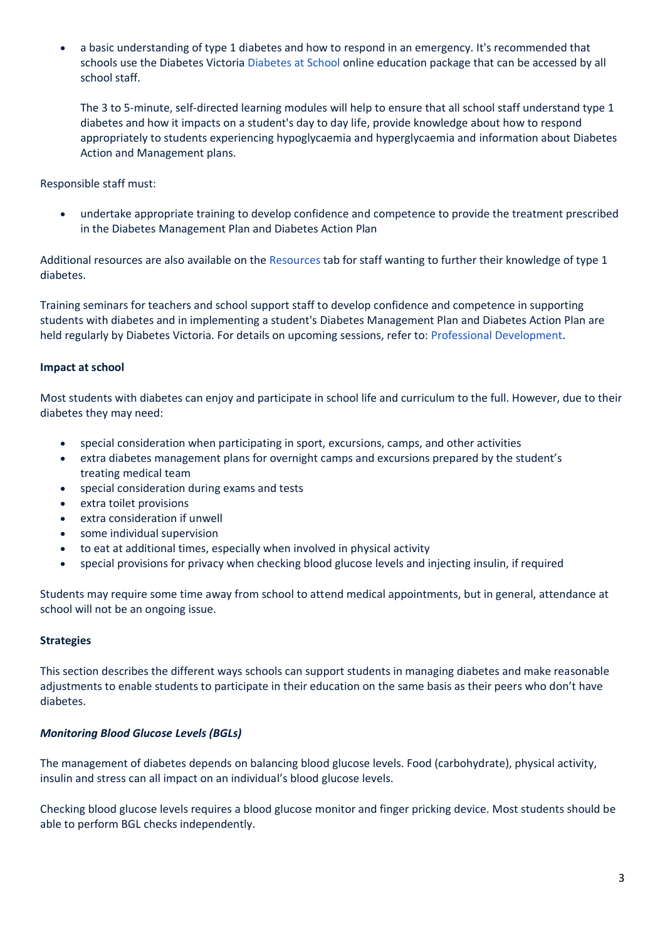• a basic understanding of type 1 diabetes and how to respond in an emergency. It's recommended that schools use the Diabetes Victoria [Diabetes at](https://diabetesatschool.com.au/) School online education package that can be accessed by all school staff.

The 3 to 5-minute, self-directed learning modules will help to ensure that all school staff understand type 1 diabetes and how it impacts on a student's day to day life, provide knowledge about how to respond appropriately to students experiencing hypoglycaemia and hyperglycaemia and information about Diabetes Action and Management plans.

Responsible staff must:

• undertake appropriate training to develop confidence and competence to provide the treatment prescribed in the Diabetes Management Plan and Diabetes Action Plan

Additional resources are also available on the [Resources](https://www2.education.vic.gov.au/pal/diabetes/resources) tab for staff wanting to further their knowledge of type 1 diabetes.

Training seminars for teachers and school support staff to develop confidence and competence in supporting students with diabetes and in implementing a student's Diabetes Management Plan and Diabetes Action Plan are held regularly by Diabetes Victoria. For details on upcoming sessions, refer to: Professional [Development.](https://www.diabetesvic.org.au/how-we-help-detail?tags=Left-Mega-Nav/Schools&content_id=a1R9000000KdapMEAR&bdc=1)

# **Impact at school**

Most students with diabetes can enjoy and participate in school life and curriculum to the full. However, due to their diabetes they may need:

- special consideration when participating in sport, excursions, camps, and other activities
- extra diabetes management plans for overnight camps and excursions prepared by the student's treating medical team
- special consideration during exams and tests
- extra toilet provisions
- extra consideration if unwell
- some individual supervision
- to eat at additional times, especially when involved in physical activity
- special provisions for privacy when checking blood glucose levels and injecting insulin, if required

Students may require some time away from school to attend medical appointments, but in general, attendance at school will not be an ongoing issue.

# **Strategies**

This section describes the different ways schools can support students in managing diabetes and make reasonable adjustments to enable students to participate in their education on the same basis as their peers who don't have diabetes.

# *Monitoring Blood Glucose Levels (BGLs)*

The management of diabetes depends on balancing blood glucose levels. Food (carbohydrate), physical activity, insulin and stress can all impact on an individual's blood glucose levels.

Checking blood glucose levels requires a blood glucose monitor and finger pricking device. Most students should be able to perform BGL checks independently.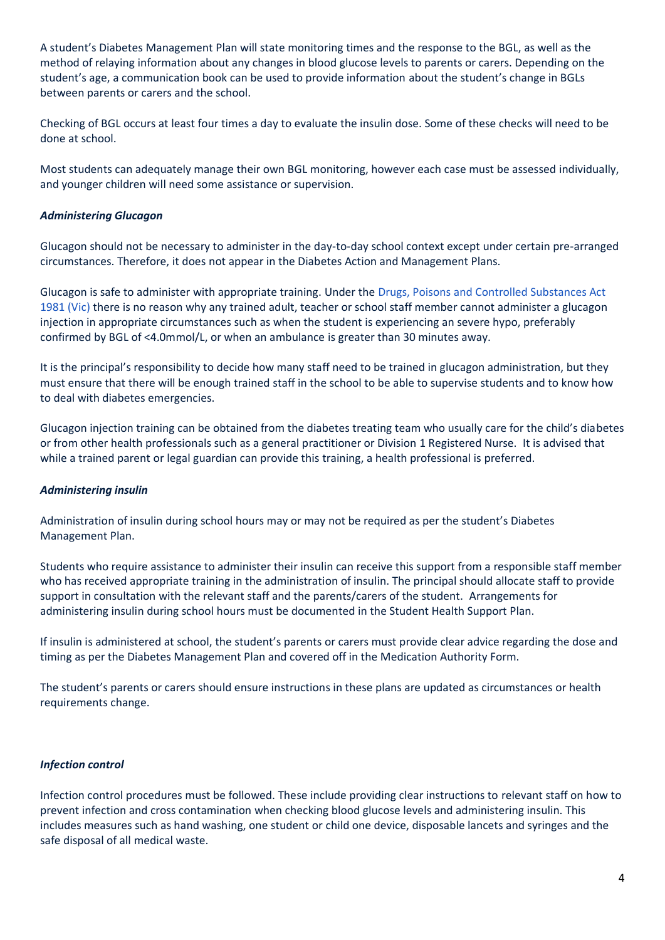A student's Diabetes Management Plan will state monitoring times and the response to the BGL, as well as the method of relaying information about any changes in blood glucose levels to parents or carers. Depending on the student's age, a communication book can be used to provide information about the student's change in BGLs between parents or carers and the school.

Checking of BGL occurs at least four times a day to evaluate the insulin dose. Some of these checks will need to be done at school.

Most students can adequately manage their own BGL monitoring, however each case must be assessed individually, and younger children will need some assistance or supervision.

# *Administering Glucagon*

Glucagon should not be necessary to administer in the day-to-day school context except under certain pre-arranged circumstances. Therefore, it does not appear in the Diabetes Action and Management Plans.

Glucagon is safe to administer with appropriate training. Under the [Drugs, Poisons and Controlled Substances Act](https://www.legislation.vic.gov.au/in-force/acts/drugs-poisons-and-controlled-substances-act-1981)  [1981](https://www.legislation.vic.gov.au/in-force/acts/drugs-poisons-and-controlled-substances-act-1981) (Vic) there is no reason why any trained adult, teacher or school staff member cannot administer a glucagon injection in appropriate circumstances such as when the student is experiencing an severe hypo, preferably confirmed by BGL of <4.0mmol/L, or when an ambulance is greater than 30 minutes away.

It is the principal's responsibility to decide how many staff need to be trained in glucagon administration, but they must ensure that there will be enough trained staff in the school to be able to supervise students and to know how to deal with diabetes emergencies.

Glucagon injection training can be obtained from the diabetes treating team who usually care for the child's diabetes or from other health professionals such as a general practitioner or Division 1 Registered Nurse. It is advised that while a trained parent or legal guardian can provide this training, a health professional is preferred.

# *Administering insulin*

Administration of insulin during school hours may or may not be required as per the student's Diabetes Management Plan.

Students who require assistance to administer their insulin can receive this support from a responsible staff member who has received appropriate training in the administration of insulin. The principal should allocate staff to provide support in consultation with the relevant staff and the parents/carers of the student. Arrangements for administering insulin during school hours must be documented in the Student Health Support Plan.

If insulin is administered at school, the student's parents or carers must provide clear advice regarding the dose and timing as per the Diabetes Management Plan and covered off in the Medication Authority Form.

The student's parents or carers should ensure instructions in these plans are updated as circumstances or health requirements change.

# *Infection control*

Infection control procedures must be followed. These include providing clear instructions to relevant staff on how to prevent infection and cross contamination when checking blood glucose levels and administering insulin. This includes measures such as hand washing, one student or child one device, disposable lancets and syringes and the safe disposal of all medical waste.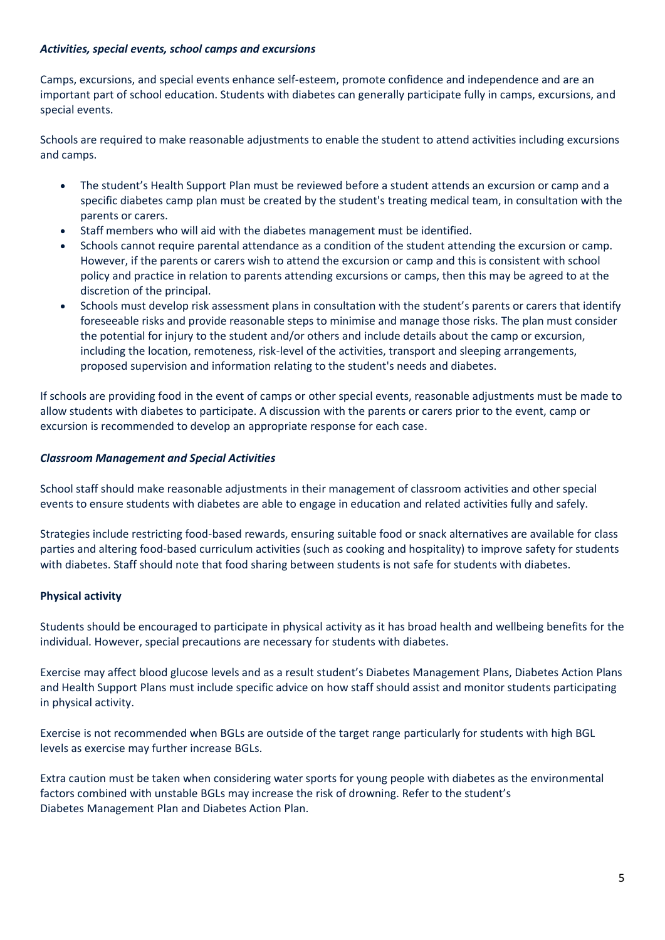# *Activities, special events, school camps and excursions*

Camps, excursions, and special events enhance self-esteem, promote confidence and independence and are an important part of school education. Students with diabetes can generally participate fully in camps, excursions, and special events.

Schools are required to make reasonable adjustments to enable the student to attend activities including excursions and camps.

- The student's Health Support Plan must be reviewed before a student attends an excursion or camp and a specific diabetes camp plan must be created by the student's treating medical team, in consultation with the parents or carers.
- Staff members who will aid with the diabetes management must be identified.
- Schools cannot require parental attendance as a condition of the student attending the excursion or camp. However, if the parents or carers wish to attend the excursion or camp and this is consistent with school policy and practice in relation to parents attending excursions or camps, then this may be agreed to at the discretion of the principal.
- Schools must develop risk assessment plans in consultation with the student's parents or carers that identify foreseeable risks and provide reasonable steps to minimise and manage those risks. The plan must consider the potential for injury to the student and/or others and include details about the camp or excursion, including the location, remoteness, risk-level of the activities, transport and sleeping arrangements, proposed supervision and information relating to the student's needs and diabetes.

If schools are providing food in the event of camps or other special events, reasonable adjustments must be made to allow students with diabetes to participate. A discussion with the parents or carers prior to the event, camp or excursion is recommended to develop an appropriate response for each case.

# *Classroom Management and Special Activities*

School staff should make reasonable adjustments in their management of classroom activities and other special events to ensure students with diabetes are able to engage in education and related activities fully and safely.

Strategies include restricting food-based rewards, ensuring suitable food or snack alternatives are available for class parties and altering food-based curriculum activities (such as cooking and hospitality) to improve safety for students with diabetes. Staff should note that food sharing between students is not safe for students with diabetes.

# **Physical activity**

Students should be encouraged to participate in physical activity as it has broad health and wellbeing benefits for the individual. However, special precautions are necessary for students with diabetes.

Exercise may affect blood glucose levels and as a result student's Diabetes Management Plans, Diabetes Action Plans and Health Support Plans must include specific advice on how staff should assist and monitor students participating in physical activity.

Exercise is not recommended when BGLs are outside of the target range particularly for students with high BGL levels as exercise may further increase BGLs.

Extra caution must be taken when considering water sports for young people with diabetes as the environmental factors combined with unstable BGLs may increase the risk of drowning. Refer to the student's Diabetes Management Plan and Diabetes Action Plan.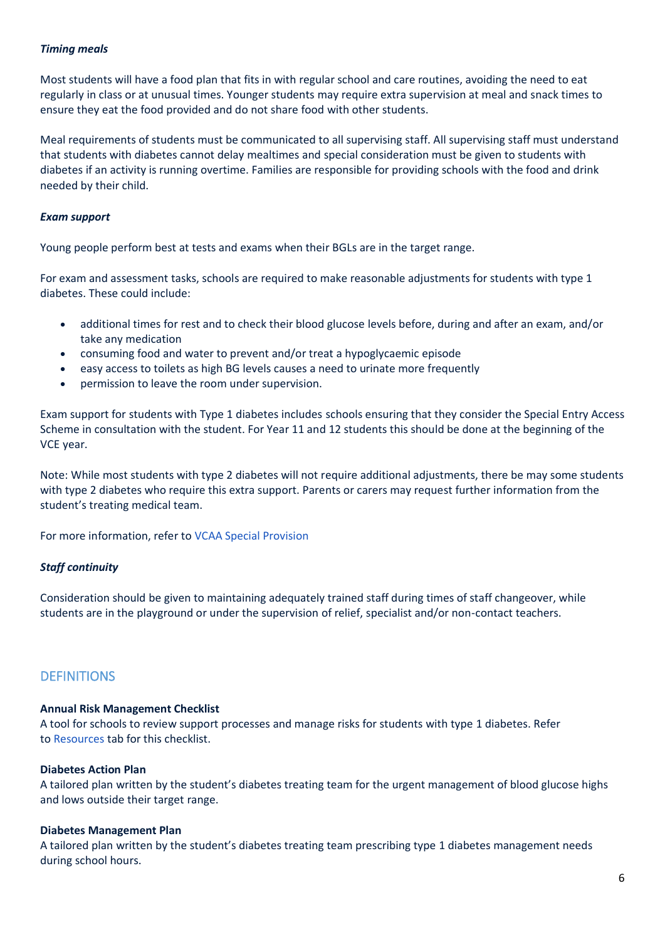# *Timing meals*

Most students will have a food plan that fits in with regular school and care routines, avoiding the need to eat regularly in class or at unusual times. Younger students may require extra supervision at meal and snack times to ensure they eat the food provided and do not share food with other students.

Meal requirements of students must be communicated to all supervising staff. All supervising staff must understand that students with diabetes cannot delay mealtimes and special consideration must be given to students with diabetes if an activity is running overtime. Families are responsible for providing schools with the food and drink needed by their child.

### *Exam support*

Young people perform best at tests and exams when their BGLs are in the target range.

For exam and assessment tasks, schools are required to make reasonable adjustments for students with type 1 diabetes. These could include:

- additional times for rest and to check their blood glucose levels before, during and after an exam, and/or take any medication
- consuming food and water to prevent and/or treat a hypoglycaemic episode
- easy access to toilets as high BG levels causes a need to urinate more frequently
- permission to leave the room under supervision.

Exam support for students with Type 1 diabetes includes schools ensuring that they consider the Special Entry Access Scheme in consultation with the student. For Year 11 and 12 students this should be done at the beginning of the VCE year.

Note: While most students with type 2 diabetes will not require additional adjustments, there be may some students with type 2 diabetes who require this extra support. Parents or carers may request further information from the student's treating medical team.

For more information, refer to [VCAA Special](https://www.vcaa.vic.edu.au/administration/special-provision/Pages/Index.aspx) Provision

# *Staff continuity*

Consideration should be given to maintaining adequately trained staff during times of staff changeover, while students are in the playground or under the supervision of relief, specialist and/or non-contact teachers.

# **DEFINITIONS**

#### **Annual Risk Management Checklist**

A tool for schools to review support processes and manage risks for students with type 1 diabetes. Refer to [Resources](https://www2.education.vic.gov.au/pal/diabetes/resources) tab for this checklist.

#### **Diabetes Action Plan**

A tailored plan written by the student's diabetes treating team for the urgent management of blood glucose highs and lows outside their target range.

# **Diabetes Management Plan**

A tailored plan written by the student's diabetes treating team prescribing type 1 diabetes management needs during school hours.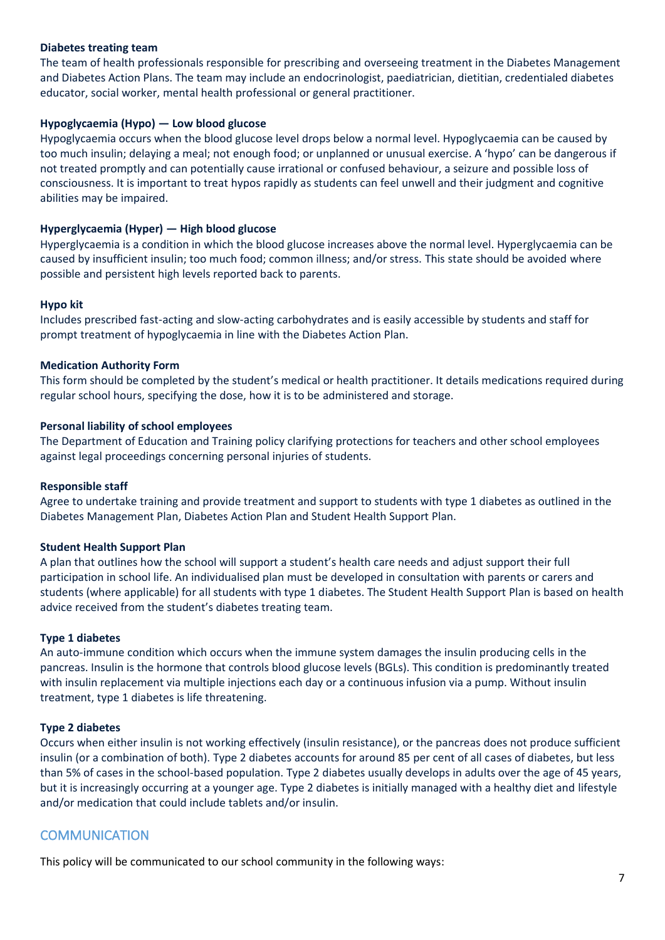# **Diabetes treating team**

The team of health professionals responsible for prescribing and overseeing treatment in the Diabetes Management and Diabetes Action Plans. The team may include an endocrinologist, paediatrician, dietitian, credentialed diabetes educator, social worker, mental health professional or general practitioner.

### **Hypoglycaemia (Hypo) — Low blood glucose**

Hypoglycaemia occurs when the blood glucose level drops below a normal level. Hypoglycaemia can be caused by too much insulin; delaying a meal; not enough food; or unplanned or unusual exercise. A 'hypo' can be dangerous if not treated promptly and can potentially cause irrational or confused behaviour, a seizure and possible loss of consciousness. It is important to treat hypos rapidly as students can feel unwell and their judgment and cognitive abilities may be impaired.

### **Hyperglycaemia (Hyper) — High blood glucose**

Hyperglycaemia is a condition in which the blood glucose increases above the normal level. Hyperglycaemia can be caused by insufficient insulin; too much food; common illness; and/or stress. This state should be avoided where possible and persistent high levels reported back to parents.

### **Hypo kit**

Includes prescribed fast-acting and slow-acting carbohydrates and is easily accessible by students and staff for prompt treatment of hypoglycaemia in line with the Diabetes Action Plan.

### **Medication Authority Form**

This form should be completed by the student's medical or health practitioner. It details medications required during regular school hours, specifying the dose, how it is to be administered and storage.

### **Personal liability of school employees**

The Department of Education and Training policy clarifying protections for teachers and other school employees against legal proceedings concerning personal injuries of students.

#### **Responsible staff**

Agree to undertake training and provide treatment and support to students with type 1 diabetes as outlined in the Diabetes Management Plan, Diabetes Action Plan and Student Health Support Plan.

#### **Student Health Support Plan**

A plan that outlines how the school will support a student's health care needs and adjust support their full participation in school life. An individualised plan must be developed in consultation with parents or carers and students (where applicable) for all students with type 1 diabetes. The Student Health Support Plan is based on health advice received from the student's diabetes treating team.

#### **Type 1 diabetes**

An auto-immune condition which occurs when the immune system damages the insulin producing cells in the pancreas. Insulin is the hormone that controls blood glucose levels (BGLs). This condition is predominantly treated with insulin replacement via multiple injections each day or a continuous infusion via a pump. Without insulin treatment, type 1 diabetes is life threatening.

#### **Type 2 diabetes**

Occurs when either insulin is not working effectively (insulin resistance), or the pancreas does not produce sufficient insulin (or a combination of both). Type 2 diabetes accounts for around 85 per cent of all cases of diabetes, but less than 5% of cases in the school-based population. Type 2 diabetes usually develops in adults over the age of 45 years, but it is increasingly occurring at a younger age. Type 2 diabetes is initially managed with a healthy diet and lifestyle and/or medication that could include tablets and/or insulin.

# **COMMUNICATION**

This policy will be communicated to our school community in the following ways: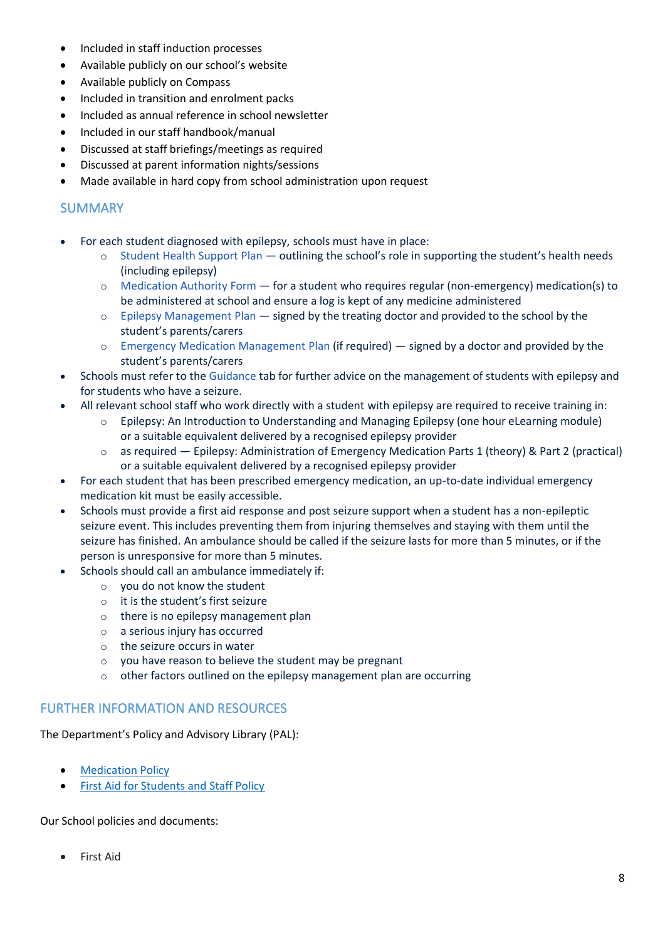- Included in staff induction processes
- Available publicly on our school's website
- Available publicly on Compass
- Included in transition and enrolment packs
- Included as annual reference in school newsletter
- Included in our staff handbook/manual
- Discussed at staff briefings/meetings as required
- Discussed at parent information nights/sessions
- Made available in hard copy from school administration upon request

# SUMMARY

- For each student diagnosed with epilepsy, schools must have in place:
	- o [Student Health Support](https://www.education.vic.gov.au/PAL/student-health-support-plan.docx) Plan outlining the school's role in supporting the student's health needs (including epilepsy)
	- o [Medication Authority](https://www.education.vic.gov.au/Documents/school/principals/health/medicationauthorityform.doc) Form for a student who requires regular (non-emergency) medication(s) to be administered at school and ensure a log is kept of any medicine administered
	- $\circ$  [Epilepsy Management](http://epilepsyfoundation.org.au/understanding-epilepsy/epilepsy-and-seizure-management-tools/epilepsy-plans/) Plan  $-$  signed by the treating doctor and provided to the school by the student's parents/carers
	- o [Emergency Medication Management](http://epilepsyfoundation.org.au/understanding-epilepsy/epilepsy-and-seizure-management-tools/epilepsy-plans/) Plan (if required) signed by a doctor and provided by the student's parents/carers
- Schools must refer to the [Guidance](https://www2.education.vic.gov.au/pal/epilepsy-and-seizures/guidance) tab for further advice on the management of students with epilepsy and for students who have a seizure.
- All relevant school staff who work directly with a student with epilepsy are required to receive training in:
	- o Epilepsy: An Introduction to Understanding and Managing Epilepsy (one hour eLearning module) or a suitable equivalent delivered by a recognised epilepsy provider
	- $\circ$  as required Epilepsy: Administration of Emergency Medication Parts 1 (theory) & Part 2 (practical) or a suitable equivalent delivered by a recognised epilepsy provider
- For each student that has been prescribed emergency medication, an up-to-date individual emergency medication kit must be easily accessible.
- Schools must provide a first aid response and post seizure support when a student has a non-epileptic seizure event. This includes preventing them from injuring themselves and staying with them until the seizure has finished. An ambulance should be called if the seizure lasts for more than 5 minutes, or if the person is unresponsive for more than 5 minutes.
- Schools should call an ambulance immediately if:
	- o you do not know the student
	- o it is the student's first seizure
	- o there is no epilepsy management plan
	- o a serious injury has occurred
	- o the seizure occurs in water
	- o you have reason to believe the student may be pregnant
	- o other factors outlined on the epilepsy management plan are occurring

# FURTHER INFORMATION AND RESOURCES

The Department's Policy and Advisory Library (PAL):

- **[Medication Policy](https://www2.education.vic.gov.au/pal/medication/policy)**
- **[First Aid for Students and Staff Policy](https://www2.education.vic.gov.au/pal/first-aid-students-and-staff/policy)**

Our School policies and documents:

• First Aid